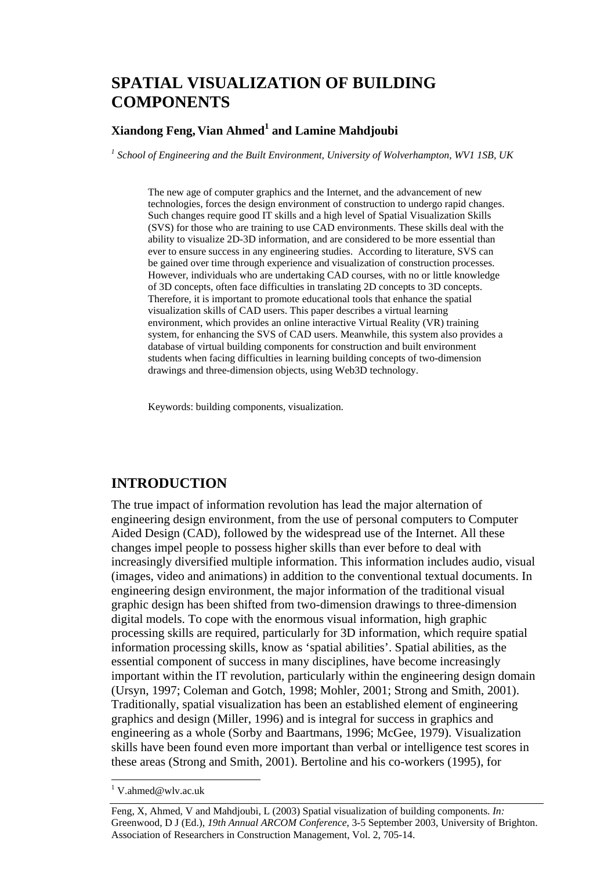# **SPATIAL VISUALIZATION OF BUILDING COMPONENTS**

### **Xiandong Feng, Vian Ahmed1 and Lamine Mahdjoubi**

<sup>1</sup> School of Engineering and the Built Environment, University of Wolverhampton, WV1 1SB, UK

The new age of computer graphics and the Internet, and the advancement of new technologies, forces the design environment of construction to undergo rapid changes. Such changes require good IT skills and a high level of Spatial Visualization Skills (SVS) for those who are training to use CAD environments. These skills deal with the ability to visualize 2D-3D information, and are considered to be more essential than ever to ensure success in any engineering studies. According to literature, SVS can be gained over time through experience and visualization of construction processes. However, individuals who are undertaking CAD courses, with no or little knowledge of 3D concepts, often face difficulties in translating 2D concepts to 3D concepts. Therefore, it is important to promote educational tools that enhance the spatial visualization skills of CAD users. This paper describes a virtual learning environment, which provides an online interactive Virtual Reality (VR) training system, for enhancing the SVS of CAD users. Meanwhile, this system also provides a database of virtual building components for construction and built environment students when facing difficulties in learning building concepts of two-dimension drawings and three-dimension objects, using Web3D technology.

Keywords: building components, visualization.

### **INTRODUCTION**

The true impact of information revolution has lead the major alternation of engineering design environment, from the use of personal computers to Computer Aided Design (CAD), followed by the widespread use of the Internet. All these changes impel people to possess higher skills than ever before to deal with increasingly diversified multiple information. This information includes audio, visual (images, video and animations) in addition to the conventional textual documents. In engineering design environment, the major information of the traditional visual graphic design has been shifted from two-dimension drawings to three-dimension digital models. To cope with the enormous visual information, high graphic processing skills are required, particularly for 3D information, which require spatial information processing skills, know as 'spatial abilities'. Spatial abilities, as the essential component of success in many disciplines, have become increasingly important within the IT revolution, particularly within the engineering design domain (Ursyn, 1997; Coleman and Gotch, 1998; Mohler, 2001; Strong and Smith, 2001). Traditionally, spatial visualization has been an established element of engineering graphics and design (Miller, 1996) and is integral for success in graphics and engineering as a whole (Sorby and Baartmans, 1996; McGee, 1979). Visualization skills have been found even more important than verbal or intelligence test scores in these areas (Strong and Smith, 2001). Bertoline and his co-workers (1995), for

<sup>&</sup>lt;sup>1</sup> V.ahmed@wlv.ac.uk

Feng, X, Ahmed, V and Mahdjoubi, L (2003) Spatial visualization of building components. *In:* Greenwood, D J (Ed.), *19th Annual ARCOM Conference*, 3-5 September 2003, University of Brighton. Association of Researchers in Construction Management, Vol. 2, 705-14.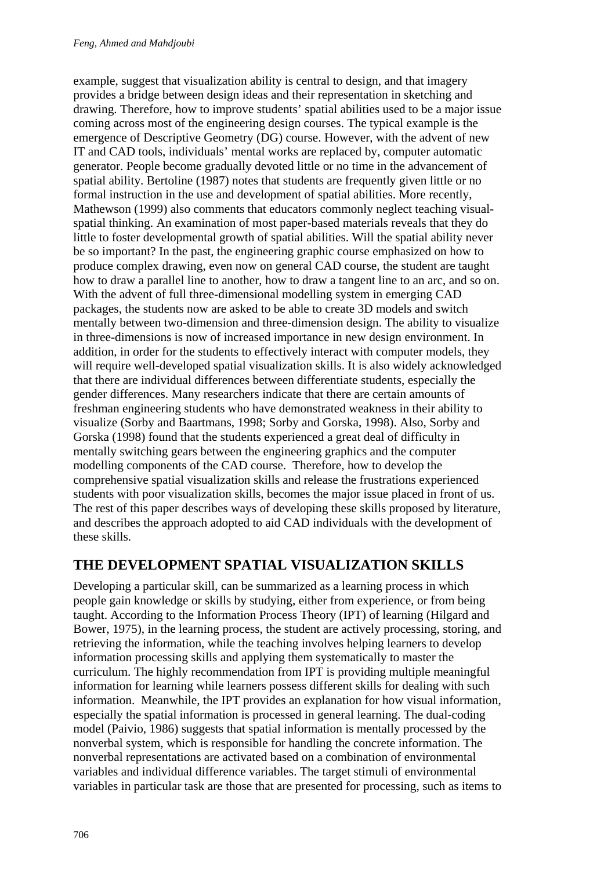example, suggest that visualization ability is central to design, and that imagery provides a bridge between design ideas and their representation in sketching and drawing. Therefore, how to improve students' spatial abilities used to be a major issue coming across most of the engineering design courses. The typical example is the emergence of Descriptive Geometry (DG) course. However, with the advent of new IT and CAD tools, individuals' mental works are replaced by, computer automatic generator. People become gradually devoted little or no time in the advancement of spatial ability. Bertoline (1987) notes that students are frequently given little or no formal instruction in the use and development of spatial abilities. More recently, Mathewson (1999) also comments that educators commonly neglect teaching visualspatial thinking. An examination of most paper-based materials reveals that they do little to foster developmental growth of spatial abilities. Will the spatial ability never be so important? In the past, the engineering graphic course emphasized on how to produce complex drawing, even now on general CAD course, the student are taught how to draw a parallel line to another, how to draw a tangent line to an arc, and so on. With the advent of full three-dimensional modelling system in emerging CAD packages, the students now are asked to be able to create 3D models and switch mentally between two-dimension and three-dimension design. The ability to visualize in three-dimensions is now of increased importance in new design environment. In addition, in order for the students to effectively interact with computer models, they will require well-developed spatial visualization skills. It is also widely acknowledged that there are individual differences between differentiate students, especially the gender differences. Many researchers indicate that there are certain amounts of freshman engineering students who have demonstrated weakness in their ability to visualize (Sorby and Baartmans, 1998; Sorby and Gorska, 1998). Also, Sorby and Gorska (1998) found that the students experienced a great deal of difficulty in mentally switching gears between the engineering graphics and the computer modelling components of the CAD course. Therefore, how to develop the comprehensive spatial visualization skills and release the frustrations experienced students with poor visualization skills, becomes the major issue placed in front of us. The rest of this paper describes ways of developing these skills proposed by literature, and describes the approach adopted to aid CAD individuals with the development of these skills.

### **THE DEVELOPMENT SPATIAL VISUALIZATION SKILLS**

Developing a particular skill, can be summarized as a learning process in which people gain knowledge or skills by studying, either from experience, or from being taught. According to the Information Process Theory (IPT) of learning (Hilgard and Bower, 1975), in the learning process, the student are actively processing, storing, and retrieving the information, while the teaching involves helping learners to develop information processing skills and applying them systematically to master the curriculum. The highly recommendation from IPT is providing multiple meaningful information for learning while learners possess different skills for dealing with such information. Meanwhile, the IPT provides an explanation for how visual information, especially the spatial information is processed in general learning. The dual-coding model (Paivio, 1986) suggests that spatial information is mentally processed by the nonverbal system, which is responsible for handling the concrete information. The nonverbal representations are activated based on a combination of environmental variables and individual difference variables. The target stimuli of environmental variables in particular task are those that are presented for processing, such as items to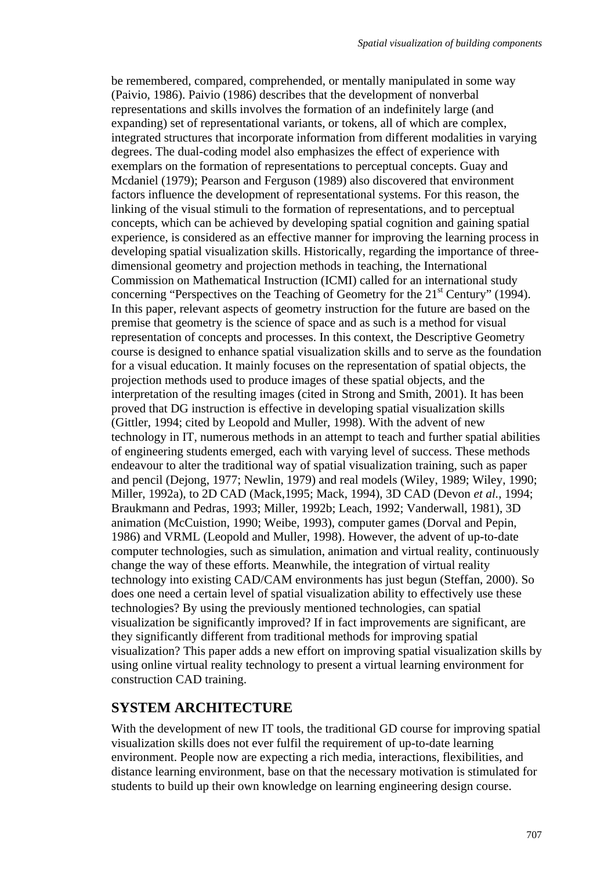be remembered, compared, comprehended, or mentally manipulated in some way (Paivio, 1986). Paivio (1986) describes that the development of nonverbal representations and skills involves the formation of an indefinitely large (and expanding) set of representational variants, or tokens, all of which are complex, integrated structures that incorporate information from different modalities in varying degrees. The dual-coding model also emphasizes the effect of experience with exemplars on the formation of representations to perceptual concepts. Guay and Mcdaniel (1979); Pearson and Ferguson (1989) also discovered that environment factors influence the development of representational systems. For this reason, the linking of the visual stimuli to the formation of representations, and to perceptual concepts, which can be achieved by developing spatial cognition and gaining spatial experience, is considered as an effective manner for improving the learning process in developing spatial visualization skills. Historically, regarding the importance of threedimensional geometry and projection methods in teaching, the International Commission on Mathematical Instruction (ICMI) called for an international study concerning "Perspectives on the Teaching of Geometry for the  $21<sup>st</sup>$  Century" (1994). In this paper, relevant aspects of geometry instruction for the future are based on the premise that geometry is the science of space and as such is a method for visual representation of concepts and processes. In this context, the Descriptive Geometry course is designed to enhance spatial visualization skills and to serve as the foundation for a visual education. It mainly focuses on the representation of spatial objects, the projection methods used to produce images of these spatial objects, and the interpretation of the resulting images (cited in Strong and Smith, 2001). It has been proved that DG instruction is effective in developing spatial visualization skills (Gittler, 1994; cited by Leopold and Muller, 1998). With the advent of new technology in IT, numerous methods in an attempt to teach and further spatial abilities of engineering students emerged, each with varying level of success. These methods endeavour to alter the traditional way of spatial visualization training, such as paper and pencil (Dejong, 1977; Newlin, 1979) and real models (Wiley, 1989; Wiley, 1990; Miller, 1992a), to 2D CAD (Mack,1995; Mack, 1994), 3D CAD (Devon *et al.*, 1994; Braukmann and Pedras, 1993; Miller, 1992b; Leach, 1992; Vanderwall, 1981), 3D animation (McCuistion, 1990; Weibe, 1993), computer games (Dorval and Pepin, 1986) and VRML (Leopold and Muller, 1998). However, the advent of up-to-date computer technologies, such as simulation, animation and virtual reality, continuously change the way of these efforts. Meanwhile, the integration of virtual reality technology into existing CAD/CAM environments has just begun (Steffan, 2000). So does one need a certain level of spatial visualization ability to effectively use these technologies? By using the previously mentioned technologies, can spatial visualization be significantly improved? If in fact improvements are significant, are they significantly different from traditional methods for improving spatial visualization? This paper adds a new effort on improving spatial visualization skills by using online virtual reality technology to present a virtual learning environment for construction CAD training.

### **SYSTEM ARCHITECTURE**

With the development of new IT tools, the traditional GD course for improving spatial visualization skills does not ever fulfil the requirement of up-to-date learning environment. People now are expecting a rich media, interactions, flexibilities, and distance learning environment, base on that the necessary motivation is stimulated for students to build up their own knowledge on learning engineering design course.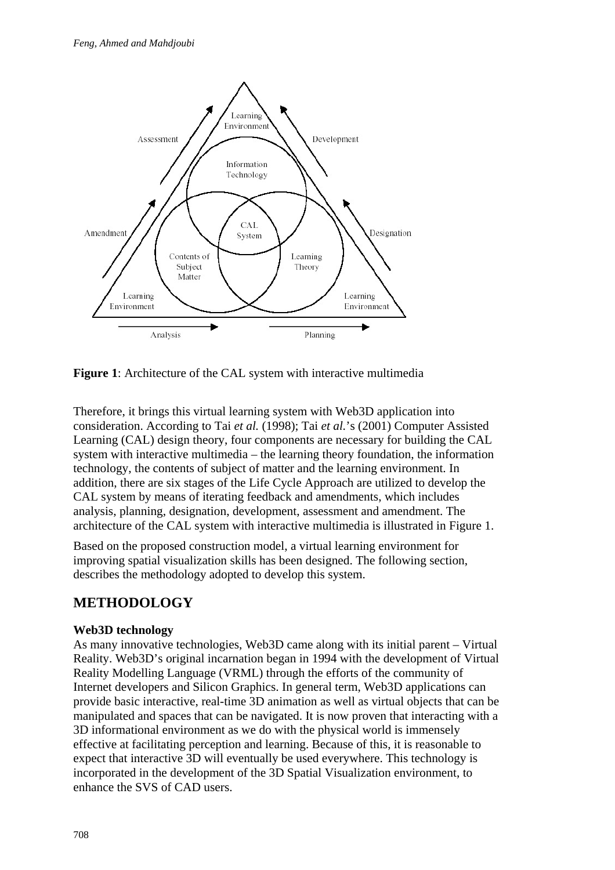

**Figure 1**: Architecture of the CAL system with interactive multimedia

Therefore, it brings this virtual learning system with Web3D application into consideration. According to Tai *et al.* (1998); Tai *et al.*'s (2001) Computer Assisted Learning (CAL) design theory, four components are necessary for building the CAL system with interactive multimedia – the learning theory foundation, the information technology, the contents of subject of matter and the learning environment. In addition, there are six stages of the Life Cycle Approach are utilized to develop the CAL system by means of iterating feedback and amendments, which includes analysis, planning, designation, development, assessment and amendment. The architecture of the CAL system with interactive multimedia is illustrated in Figure 1.

Based on the proposed construction model, a virtual learning environment for improving spatial visualization skills has been designed. The following section, describes the methodology adopted to develop this system.

## **METHODOLOGY**

#### **Web3D technology**

As many innovative technologies, Web3D came along with its initial parent – Virtual Reality. Web3D's original incarnation began in 1994 with the development of Virtual Reality Modelling Language (VRML) through the efforts of the community of Internet developers and Silicon Graphics. In general term, Web3D applications can provide basic interactive, real-time 3D animation as well as virtual objects that can be manipulated and spaces that can be navigated. It is now proven that interacting with a 3D informational environment as we do with the physical world is immensely effective at facilitating perception and learning. Because of this, it is reasonable to expect that interactive 3D will eventually be used everywhere. This technology is incorporated in the development of the 3D Spatial Visualization environment, to enhance the SVS of CAD users.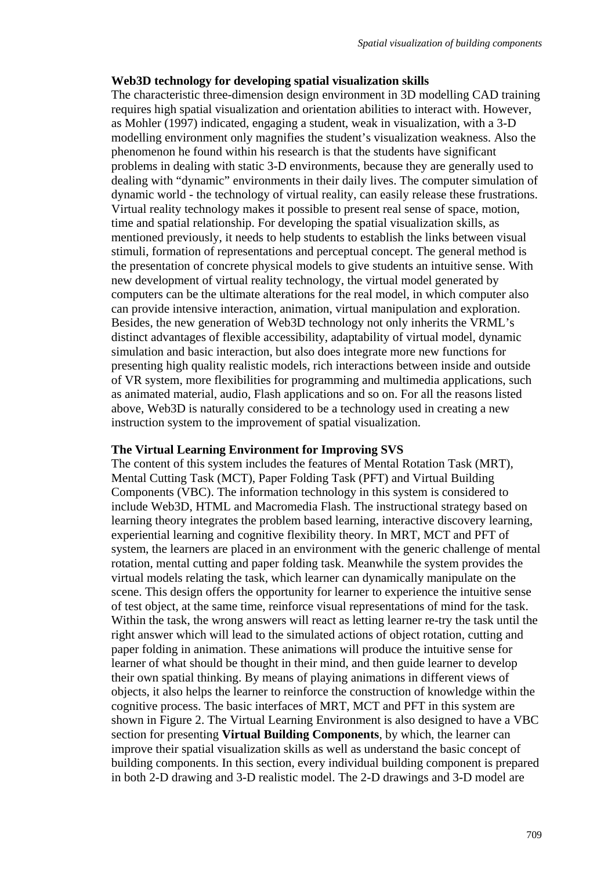#### **Web3D technology for developing spatial visualization skills**

The characteristic three-dimension design environment in 3D modelling CAD training requires high spatial visualization and orientation abilities to interact with. However, as Mohler (1997) indicated, engaging a student, weak in visualization, with a 3-D modelling environment only magnifies the student's visualization weakness. Also the phenomenon he found within his research is that the students have significant problems in dealing with static 3-D environments, because they are generally used to dealing with "dynamic" environments in their daily lives. The computer simulation of dynamic world - the technology of virtual reality, can easily release these frustrations. Virtual reality technology makes it possible to present real sense of space, motion, time and spatial relationship. For developing the spatial visualization skills, as mentioned previously, it needs to help students to establish the links between visual stimuli, formation of representations and perceptual concept. The general method is the presentation of concrete physical models to give students an intuitive sense. With new development of virtual reality technology, the virtual model generated by computers can be the ultimate alterations for the real model, in which computer also can provide intensive interaction, animation, virtual manipulation and exploration. Besides, the new generation of Web3D technology not only inherits the VRML's distinct advantages of flexible accessibility, adaptability of virtual model, dynamic simulation and basic interaction, but also does integrate more new functions for presenting high quality realistic models, rich interactions between inside and outside of VR system, more flexibilities for programming and multimedia applications, such as animated material, audio, Flash applications and so on. For all the reasons listed above, Web3D is naturally considered to be a technology used in creating a new instruction system to the improvement of spatial visualization.

#### **The Virtual Learning Environment for Improving SVS**

The content of this system includes the features of Mental Rotation Task (MRT), Mental Cutting Task (MCT), Paper Folding Task (PFT) and Virtual Building Components (VBC). The information technology in this system is considered to include Web3D, HTML and Macromedia Flash. The instructional strategy based on learning theory integrates the problem based learning, interactive discovery learning, experiential learning and cognitive flexibility theory. In MRT, MCT and PFT of system, the learners are placed in an environment with the generic challenge of mental rotation, mental cutting and paper folding task. Meanwhile the system provides the virtual models relating the task, which learner can dynamically manipulate on the scene. This design offers the opportunity for learner to experience the intuitive sense of test object, at the same time, reinforce visual representations of mind for the task. Within the task, the wrong answers will react as letting learner re-try the task until the right answer which will lead to the simulated actions of object rotation, cutting and paper folding in animation. These animations will produce the intuitive sense for learner of what should be thought in their mind, and then guide learner to develop their own spatial thinking. By means of playing animations in different views of objects, it also helps the learner to reinforce the construction of knowledge within the cognitive process. The basic interfaces of MRT, MCT and PFT in this system are shown in Figure 2. The Virtual Learning Environment is also designed to have a VBC section for presenting **Virtual Building Components**, by which, the learner can improve their spatial visualization skills as well as understand the basic concept of building components. In this section, every individual building component is prepared in both 2-D drawing and 3-D realistic model. The 2-D drawings and 3-D model are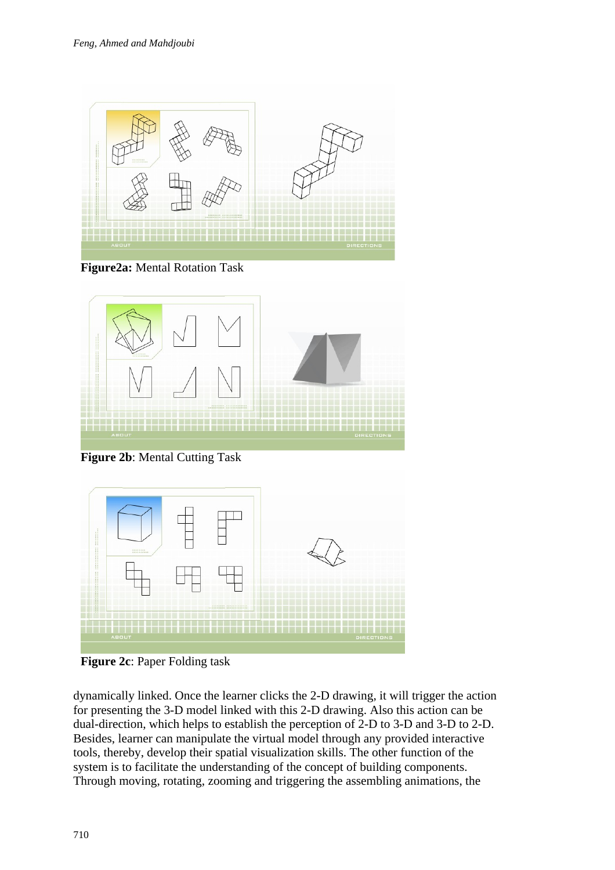

**Figure2a:** Mental Rotation Task



**Figure 2b**: Mental Cutting Task



**Figure 2c**: Paper Folding task

dynamically linked. Once the learner clicks the 2-D drawing, it will trigger the action for presenting the 3-D model linked with this 2-D drawing. Also this action can be dual-direction, which helps to establish the perception of 2-D to 3-D and 3-D to 2-D. Besides, learner can manipulate the virtual model through any provided interactive tools, thereby, develop their spatial visualization skills. The other function of the system is to facilitate the understanding of the concept of building components. Through moving, rotating, zooming and triggering the assembling animations, the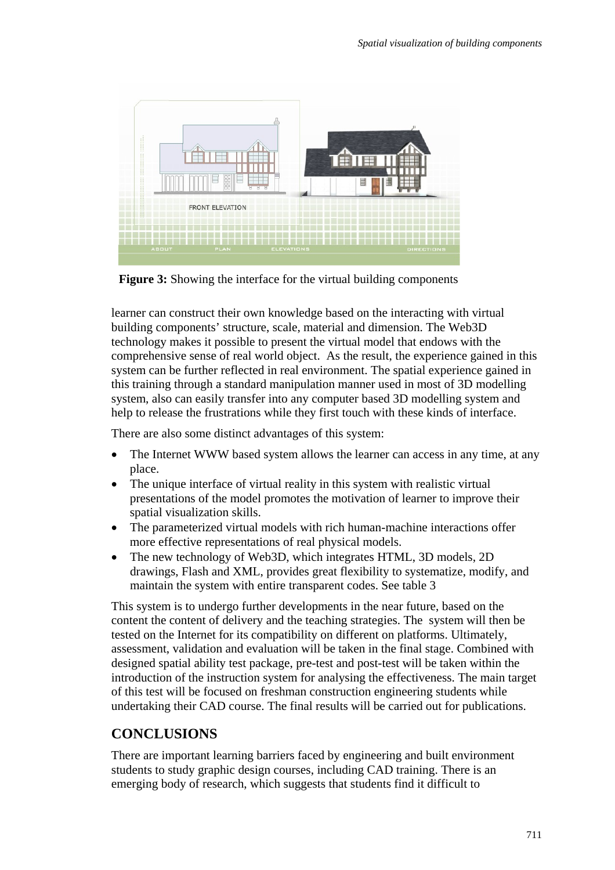

**Figure 3:** Showing the interface for the virtual building components

learner can construct their own knowledge based on the interacting with virtual building components' structure, scale, material and dimension. The Web3D technology makes it possible to present the virtual model that endows with the comprehensive sense of real world object. As the result, the experience gained in this system can be further reflected in real environment. The spatial experience gained in this training through a standard manipulation manner used in most of 3D modelling system, also can easily transfer into any computer based 3D modelling system and help to release the frustrations while they first touch with these kinds of interface.

There are also some distinct advantages of this system:

- The Internet WWW based system allows the learner can access in any time, at any place.
- The unique interface of virtual reality in this system with realistic virtual presentations of the model promotes the motivation of learner to improve their spatial visualization skills.
- The parameterized virtual models with rich human-machine interactions offer more effective representations of real physical models.
- The new technology of Web3D, which integrates HTML, 3D models, 2D drawings, Flash and XML, provides great flexibility to systematize, modify, and maintain the system with entire transparent codes. See table 3

This system is to undergo further developments in the near future, based on the content the content of delivery and the teaching strategies. The system will then be tested on the Internet for its compatibility on different on platforms. Ultimately, assessment, validation and evaluation will be taken in the final stage. Combined with designed spatial ability test package, pre-test and post-test will be taken within the introduction of the instruction system for analysing the effectiveness. The main target of this test will be focused on freshman construction engineering students while undertaking their CAD course. The final results will be carried out for publications.

## **CONCLUSIONS**

There are important learning barriers faced by engineering and built environment students to study graphic design courses, including CAD training. There is an emerging body of research, which suggests that students find it difficult to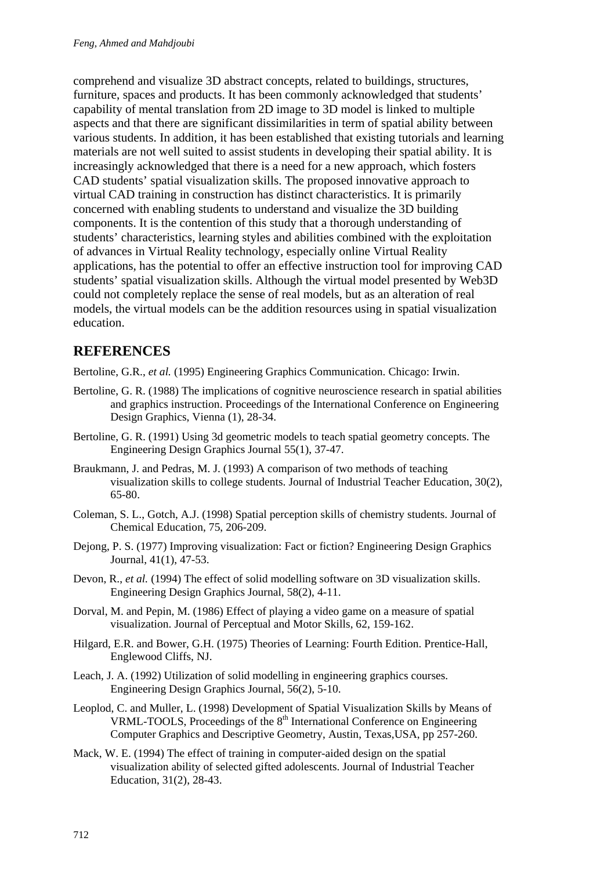comprehend and visualize 3D abstract concepts, related to buildings, structures, furniture, spaces and products. It has been commonly acknowledged that students' capability of mental translation from 2D image to 3D model is linked to multiple aspects and that there are significant dissimilarities in term of spatial ability between various students. In addition, it has been established that existing tutorials and learning materials are not well suited to assist students in developing their spatial ability. It is increasingly acknowledged that there is a need for a new approach, which fosters CAD students' spatial visualization skills. The proposed innovative approach to virtual CAD training in construction has distinct characteristics. It is primarily concerned with enabling students to understand and visualize the 3D building components. It is the contention of this study that a thorough understanding of students' characteristics, learning styles and abilities combined with the exploitation of advances in Virtual Reality technology, especially online Virtual Reality applications, has the potential to offer an effective instruction tool for improving CAD students' spatial visualization skills. Although the virtual model presented by Web3D could not completely replace the sense of real models, but as an alteration of real models, the virtual models can be the addition resources using in spatial visualization education.

### **REFERENCES**

Bertoline, G.R., *et al.* (1995) Engineering Graphics Communication. Chicago: Irwin.

- Bertoline, G. R. (1988) The implications of cognitive neuroscience research in spatial abilities and graphics instruction. Proceedings of the International Conference on Engineering Design Graphics, Vienna (1), 28-34.
- Bertoline, G. R. (1991) Using 3d geometric models to teach spatial geometry concepts. The Engineering Design Graphics Journal 55(1), 37-47.
- Braukmann, J. and Pedras, M. J. (1993) A comparison of two methods of teaching visualization skills to college students. Journal of Industrial Teacher Education, 30(2), 65-80.
- Coleman, S. L., Gotch, A.J. (1998) Spatial perception skills of chemistry students. Journal of Chemical Education, 75, 206-209.
- Dejong, P. S. (1977) Improving visualization: Fact or fiction? Engineering Design Graphics Journal, 41(1), 47-53.
- Devon, R., *et al.* (1994) The effect of solid modelling software on 3D visualization skills. Engineering Design Graphics Journal, 58(2), 4-11.
- Dorval, M. and Pepin, M. (1986) Effect of playing a video game on a measure of spatial visualization. Journal of Perceptual and Motor Skills, 62, 159-162.
- Hilgard, E.R. and Bower, G.H. (1975) Theories of Learning: Fourth Edition. Prentice-Hall, Englewood Cliffs, NJ.
- Leach, J. A. (1992) Utilization of solid modelling in engineering graphics courses. Engineering Design Graphics Journal, 56(2), 5-10.
- Leoplod, C. and Muller, L. (1998) Development of Spatial Visualization Skills by Means of VRML-TOOLS, Proceedings of the 8<sup>th</sup> International Conference on Engineering Computer Graphics and Descriptive Geometry, Austin, Texas,USA, pp 257-260.
- Mack, W. E. (1994) The effect of training in computer-aided design on the spatial visualization ability of selected gifted adolescents. Journal of Industrial Teacher Education, 31(2), 28-43.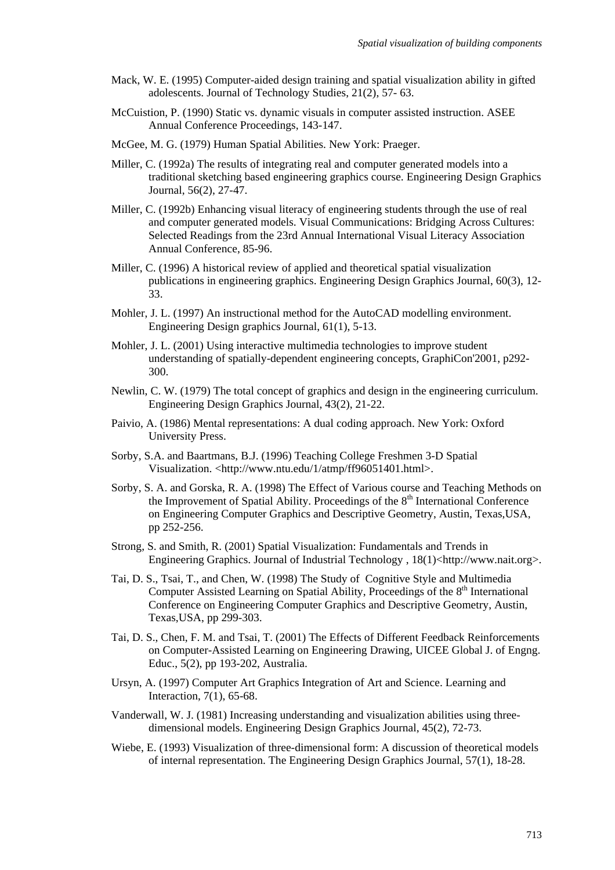- Mack, W. E. (1995) Computer-aided design training and spatial visualization ability in gifted adolescents. Journal of Technology Studies, 21(2), 57- 63.
- McCuistion, P. (1990) Static vs. dynamic visuals in computer assisted instruction. ASEE Annual Conference Proceedings, 143-147.
- McGee, M. G. (1979) Human Spatial Abilities. New York: Praeger.
- Miller, C. (1992a) The results of integrating real and computer generated models into a traditional sketching based engineering graphics course. Engineering Design Graphics Journal, 56(2), 27-47.
- Miller, C. (1992b) Enhancing visual literacy of engineering students through the use of real and computer generated models. Visual Communications: Bridging Across Cultures: Selected Readings from the 23rd Annual International Visual Literacy Association Annual Conference, 85-96.
- Miller, C. (1996) A historical review of applied and theoretical spatial visualization publications in engineering graphics. Engineering Design Graphics Journal, 60(3), 12- 33.
- Mohler, J. L. (1997) An instructional method for the AutoCAD modelling environment. Engineering Design graphics Journal, 61(1), 5-13.
- Mohler, J. L. (2001) Using interactive multimedia technologies to improve student understanding of spatially-dependent engineering concepts, GraphiCon'2001, p292- 300.
- Newlin, C. W. (1979) The total concept of graphics and design in the engineering curriculum. Engineering Design Graphics Journal, 43(2), 21-22.
- Paivio, A. (1986) Mental representations: A dual coding approach. New York: Oxford University Press.
- Sorby, S.A. and Baartmans, B.J. (1996) Teaching College Freshmen 3-D Spatial Visualization. <http://www.ntu.edu/1/atmp/ff96051401.html>.
- Sorby, S. A. and Gorska, R. A. (1998) The Effect of Various course and Teaching Methods on the Improvement of Spatial Ability. Proceedings of the  $8<sup>th</sup>$  International Conference on Engineering Computer Graphics and Descriptive Geometry, Austin, Texas,USA, pp 252-256.
- Strong, S. and Smith, R. (2001) Spatial Visualization: Fundamentals and Trends in Engineering Graphics. Journal of Industrial Technology ,  $18(1)$  http://www.nait.org>.
- Tai, D. S., Tsai, T., and Chen, W. (1998) The Study of Cognitive Style and Multimedia Computer Assisted Learning on Spatial Ability, Proceedings of the  $8<sup>th</sup>$  International Conference on Engineering Computer Graphics and Descriptive Geometry, Austin, Texas,USA, pp 299-303.
- Tai, D. S., Chen, F. M. and Tsai, T. (2001) The Effects of Different Feedback Reinforcements on Computer-Assisted Learning on Engineering Drawing, UICEE Global J. of Engng. Educ., 5(2), pp 193-202, Australia.
- Ursyn, A. (1997) Computer Art Graphics Integration of Art and Science. Learning and Interaction, 7(1), 65-68.
- Vanderwall, W. J. (1981) Increasing understanding and visualization abilities using threedimensional models. Engineering Design Graphics Journal, 45(2), 72-73.
- Wiebe, E. (1993) Visualization of three-dimensional form: A discussion of theoretical models of internal representation. The Engineering Design Graphics Journal, 57(1), 18-28.